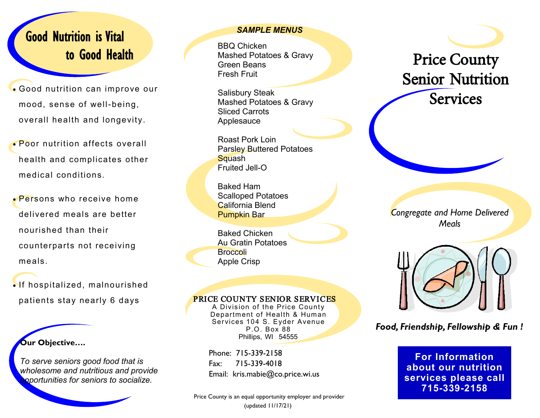## Good Nutrition is Vital to Good Health

- Good nutrition can improve our mood, sense of well-being, overall health and longevity.
- Poor nutrition affects overall health and complicates other medical conditions.
- Persons who receive home delivered meals are better nourished than their counterparts not receiving meals.
- If hospitalized, malnourished patients stay nearly 6 days

**Our Objective….** 

*To serve seniors good food that is wholesome and nutritious and provide opportunities for seniors to socialize.*

### *SAMPLE MENUS*

BBQ Chicken Mashed Potatoes & Gravy Green Beans Fresh Fruit

Salisbury Steak Mashed Potatoes & Gravy Sliced Carrots Applesauce

Roast Pork Loin Parsley Buttered Potatoes **Squash** Fruited Jell-O

Baked Ham Scalloped Potatoes California Blend Pumpkin Bar

Baked Chicken Au Gratin Potatoes Broccoli Apple Crisp

### PRICE COUNTY SENIOR SERVICES

A Division of the Price County Department of Health & Human Services 104 S. Eyder Avenue P.O. Box 88 Phillips, WI 54555

Phone: 715-339-2158 Fax: 715-339-4018 Email: kris.mabie@co.price.wi.us

Price County is an equal opportunity employer and provider (updated 11/17/21)

# Price County Senior Nutrition **Services**

*Congregate and Home Delivered Meals*



### *Food, Friendship, Fellowship & Fun !*

**For Information about our nutrition services please call 715-339-2158**